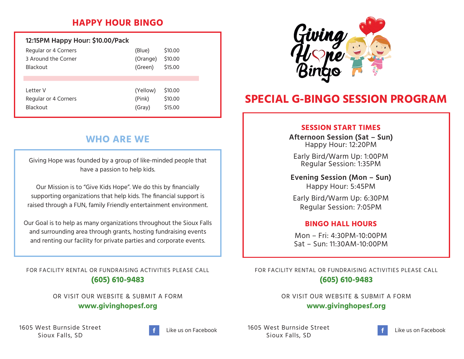## **HAPPY HOUR BINGO**

| 12:15PM Happy Hour: \$10.00/Pack |          |         |
|----------------------------------|----------|---------|
| Regular or 4 Corners             | (Blue)   | \$10.00 |
| 3 Around the Corner              | (Orange) | \$10.00 |
| <b>Blackout</b>                  | (Green)  | \$15.00 |
| I etter V                        | (Yellow) | \$10.00 |
| Regular or 4 Corners             | (Pink)   | \$10.00 |
| <b>Blackout</b>                  | (Gray)   | \$15.00 |

# **WHO ARE WE**

Giving Hope was founded by a group of like-minded people that have a passion to help kids.

Our Mission is to "Give Kids Hope". We do this by financially supporting organizations that help kids. The financial support is raised through a FUN, family Friendly entertainment environment.

Our Goal is to help as many organizations throughout the Sioux Falls and surrounding area through grants, hosting fundraising events and renting our facility for private parties and corporate events.

FOR FACILITY RENTAL OR FUNDRAISING ACTIVITIES PLEASE CALL **(605) 610-9483**

> OR VISIT OUR WEBSITE & SUBMIT A FORM **www.givinghopesf.org**

1605 West Burnside Street Sioux Falls, SD





# **SPECIAL G-BINGO SESSION PROGRAM**

#### **SESSION START TIMES**

**Afternoon Session (Sat – Sun)** Happy Hour: 12:20PM

Early Bird/Warm Up: 1:00PM Regular Session: 1:35PM

**Evening Session (Mon – Sun)** Happy Hour: 5:45PM

Early Bird/Warm Up: 6:30PM Regular Session: 7:05PM

#### **BINGO HALL HOURS**

Mon – Fri: 4:30PM-10:00PM Sat – Sun: 11:30AM-10:00PM

FOR FACILITY RENTAL OR FUNDRAISING ACTIVITIES PLEASE CALL **(605) 610-9483**

> OR VISIT OUR WEBSITE & SUBMIT A FORM **www.givinghopesf.org**

1605 West Burnside Street Sioux Falls, SD Like us on Facebook LibUS West Burnside Street Like us on Facebook Like us on Facebook